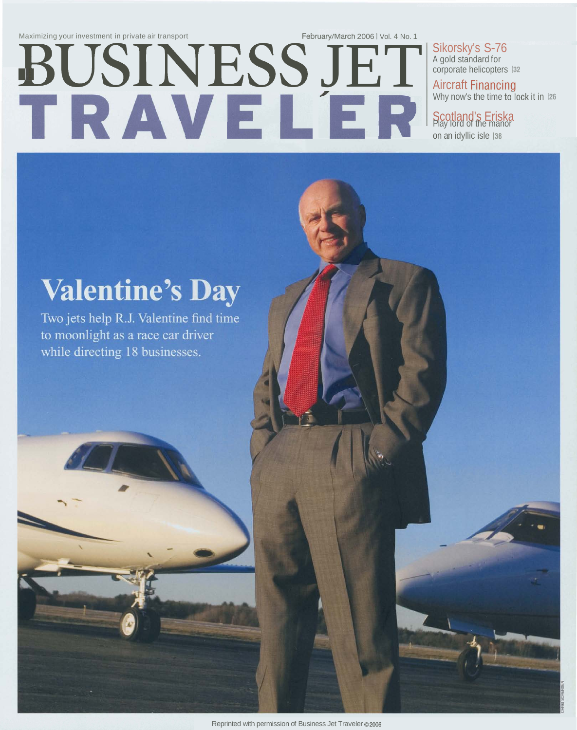Maximizing your investment in private air transport<br> **BUSINESS JET SI SERVIS S-76**<br>
- A BUSINESS JET SI SUNCER ENGLISH SCOTT A COOPDITABLE TO A SOLUTION OF A SURFUND AIRCREDITED TO A SURFUND ON A NOT A COOPDITABLE TO A COO

Sikorsky's S-76<br>A gold standard for corporate helicopters 132

Aircraft Financing Why now's the time to lock it in 126

**Scotland's Eriska**<br>Play lord of the manor

# **Valentine's Day**

Two jets help R.J. Valentine find time to moonlight as a race car driver while directing 18 businesses.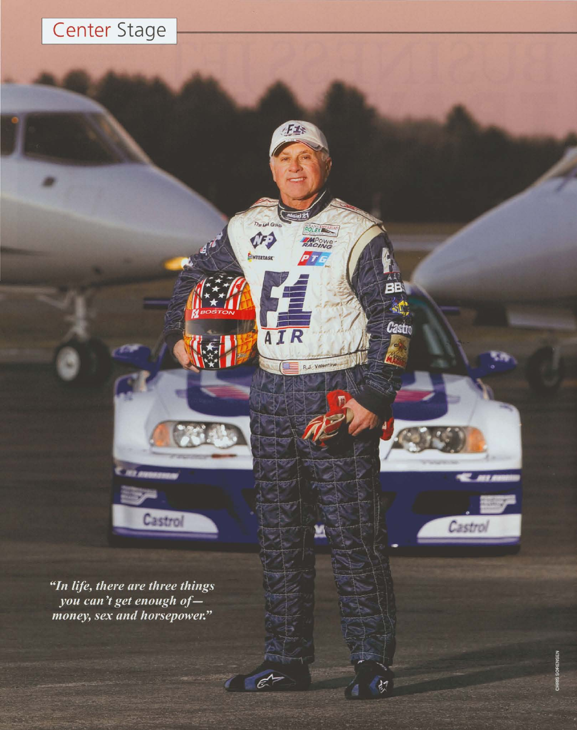## Center Stage

Fis

**POLEKEE** 

**TAPOWE** 

**BB** 

 $\mathbb{R}$ 

Castro

 $\frac{1}{2}$ 

Castrol

 $\overline{P}$ TE

R.J. Valer

M

 $\epsilon'$ 

The Let Gray

¢F3

**B**NTERTASK

AIR

"In life, there are three things you can't get enough ofmoney, sex and horsepower."

Castrol